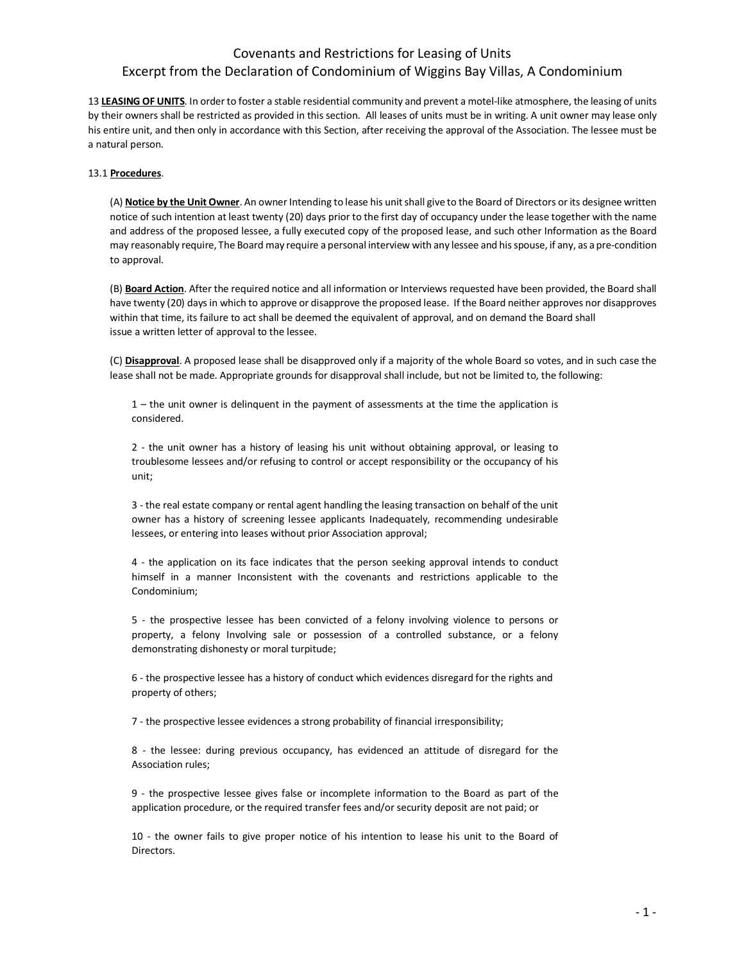## Covenants and Restrictions for Leasing of Units Excerpt from the Declaration of Condominium of Wiggins Bay Villas, A Condominium

13 **LEASING OF UNITS**. In order to foster a stable residential community and prevent a motel-like atmosphere, the leasing of units by their owners shall be restricted as provided in this section. All leases of units must be in writing. A unit owner may lease only his entire unit, and then only in accordance with this Section, after receiving the approval of the Association. The lessee must be a natural person.

## 13.1 **Procedures**.

(A) **Notice by the Unit Owner**. An owner Intending to lease his unit shall give to the Board of Directors or its designee written notice of such intention at least twenty (20) days prior to the first day of occupancy under the lease together with the name and address of the proposed lessee, a fully executed copy of the proposed lease, and such other Information as the Board may reasonably require, The Board may require a personal interview with any lessee and his spouse, if any, as a pre-condition to approval.

(B) **Board Action**. After the required notice and all information or Interviews requested have been provided, the Board shall have twenty (20) days in which to approve or disapprove the proposed lease. If the Board neither approves nor disapproves within that time, its failure to act shall be deemed the equivalent of approval, and on demand the Board shall issue a written letter of approval to the lessee.

(C) **Disapproval**. A proposed lease shall be disapproved only if a majority of the whole Board so votes, and in such case the lease shall not be made. Appropriate grounds for disapproval shall include, but not be limited to, the following:

1 – the unit owner is delinquent in the payment of assessments at the time the application is considered.

2 - the unit owner has a history of leasing his unit without obtaining approval, or leasing to troublesome lessees and/or refusing to control or accept responsibility or the occupancy of his unit;

3 - the real estate company or rental agent handling the leasing transaction on behalf of the unit owner has a history of screening lessee applicants Inadequately, recommending undesirable lessees, or entering into leases without prior Association approval;

4 - the application on its face indicates that the person seeking approval intends to conduct himself in a manner Inconsistent with the covenants and restrictions applicable to the Condominium;

5 - the prospective lessee has been convicted of a felony involving violence to persons or property, a felony Involving sale or possession of a controlled substance, or a felony demonstrating dishonesty or moral turpitude;

6 - the prospective lessee has a history of conduct which evidences disregard for the rights and property of others;

7 - the prospective lessee evidences a strong probability of financial irresponsibility;

8 - the lessee: during previous occupancy, has evidenced an attitude of disregard for the Association rules;

9 - the prospective lessee gives false or incomplete information to the Board as part of the application procedure, or the required transfer fees and/or security deposit are not paid; or

10 - the owner fails to give proper notice of his intention to lease his unit to the Board of Directors.